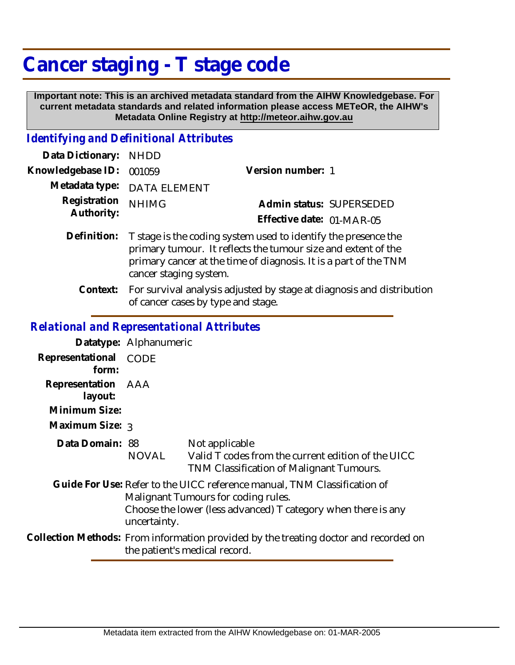# **Cancer staging - T stage code**

 **Important note: This is an archived metadata standard from the AIHW Knowledgebase. For current metadata standards and related information please access METeOR, the AIHW's Metadata Online Registry at http://meteor.aihw.gov.au**

### *Identifying and Definitional Attributes*

| Data Dictionary: NHDD      |                                                                                                                                             |                           |                          |
|----------------------------|---------------------------------------------------------------------------------------------------------------------------------------------|---------------------------|--------------------------|
| Knowledgebase ID: 001059   |                                                                                                                                             | Version number: 1         |                          |
|                            | Metadata type: DATA ELEMENT                                                                                                                 |                           |                          |
| Registration<br>Authority: | <b>NHIMG</b>                                                                                                                                |                           | Admin status: SUPERSEDED |
|                            |                                                                                                                                             | Effective date: 01-MAR-05 |                          |
|                            | Definition: T stage is the coding system used to identify the presence the<br>primary tumour. It reflects the tumour size and extent of the |                           |                          |

- primary tumour. It reflects the tumour size and extent of the primary cancer at the time of diagnosis. It is a part of the TNM cancer staging system.
- Context: For survival analysis adjusted by stage at diagnosis and distribution of cancer cases by type and stage.

## *Relational and Representational Attributes*

|                                                                   | Datatype: Alphanumeric |                                                                                                                                                                                  |
|-------------------------------------------------------------------|------------------------|----------------------------------------------------------------------------------------------------------------------------------------------------------------------------------|
| Representational CODE<br>form:                                    |                        |                                                                                                                                                                                  |
| Representation AAA<br>layout:<br>Minimum Size:<br>Maximum Size: 3 |                        |                                                                                                                                                                                  |
| Data Domain: 88                                                   | NOVAL                  | Not applicable<br>Valid T codes from the current edition of the UICC<br>TNM Classification of Malignant Tumours.                                                                 |
|                                                                   | uncertainty.           | Guide For Use: Refer to the UICC reference manual, TNM Classification of<br>Malignant Tumours for coding rules.<br>Choose the lower (less advanced) T category when there is any |
|                                                                   |                        | Collection Methods: From information provided by the treating doctor and recorded on<br>the patient's medical record.                                                            |